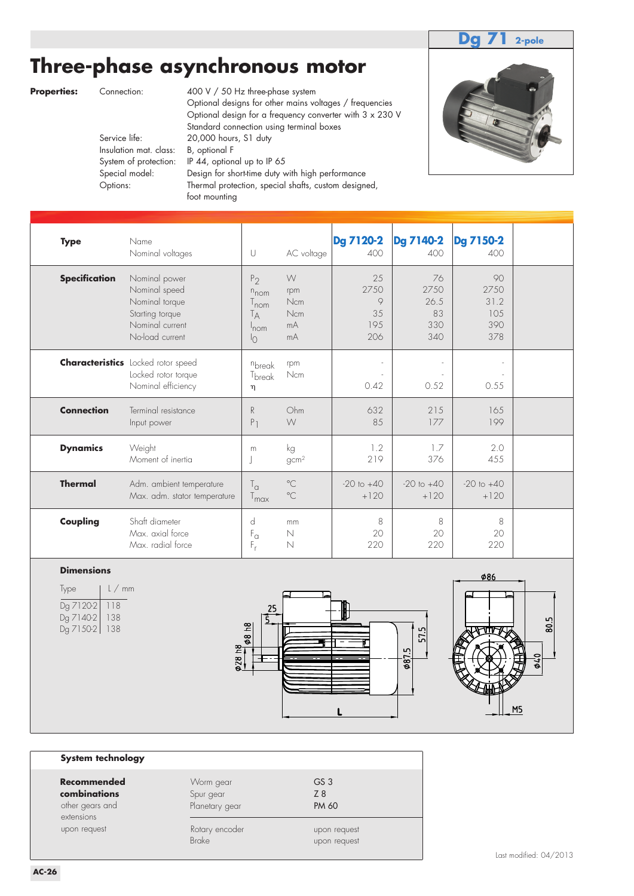### **Dg 71 2-pole**

# **Three-phase asynchronous motor**

- - Insulation mat. class: B, optional F

**Properties:** Connection: 400 V / 50 Hz three-phase system Optional designs for other mains voltages / frequencies Optional design for a frequency converter with 3 x 230 V Standard connection using terminal boxes<br>Service life: 20,000 hours, S1 duty 20,000 hours, S1 duty System of protection: IP 44, optional up to IP 65 Special model: Design for short-time duty with high performance Options: Thermal protection, special shafts, custom designed, foot mounting



| <b>Type</b>          | Name<br>Nominal voltages                                                                                  | U                                                                                                     | AC voltage                         | <b>Dg 7120-2</b><br>400                   | <b>Dg 7140-2</b><br>400                | <b>Dg 7150-2</b><br>400                 |  |
|----------------------|-----------------------------------------------------------------------------------------------------------|-------------------------------------------------------------------------------------------------------|------------------------------------|-------------------------------------------|----------------------------------------|-----------------------------------------|--|
| <b>Specification</b> | Nominal power<br>Nominal speed<br>Nominal torque<br>Starting torque<br>Nominal current<br>No-load current | P <sub>2</sub><br>$n_{\text{nom}}$<br>T <sub>nom</sub><br>Tд<br>$^{\mathsf{I}}$ nom<br>$\overline{O}$ | W<br>rpm<br>Ncm<br>Ncm<br>mA<br>mA | 25<br>2750<br>$\circ$<br>35<br>195<br>206 | 76<br>2750<br>26.5<br>83<br>330<br>340 | 90<br>2750<br>31.2<br>105<br>390<br>378 |  |
|                      | <b>Characteristics</b> Locked rotor speed<br>Locked rotor torque<br>Nominal efficiency                    | nbreak<br>T <sub>break</sub><br>η                                                                     | rpm<br>Ncm                         | 0.42                                      | 0.52                                   | 0.55                                    |  |
| <b>Connection</b>    | Terminal resistance<br>Input power                                                                        | R<br>P <sub>1</sub>                                                                                   | Ohm<br>W                           | 632<br>85                                 | 215<br>177                             | 165<br>199                              |  |
| <b>Dynamics</b>      | Weight<br>Moment of inertia                                                                               | m<br>J                                                                                                | kg<br>gcm <sup>2</sup>             | 1.2<br>219                                | 1.7<br>376                             | 2.0<br>455                              |  |
| <b>Thermal</b>       | Adm. ambient temperature<br>Max. adm. stator temperature                                                  | $T_{\alpha}$<br>$T_{\text{max}}$                                                                      | $^{\circ}$ C<br>$^{\circ}$ C       | $-20$ to $+40$<br>$+120$                  | $-20$ to $+40$<br>$+120$               | $-20$ to $+40$<br>$+120$                |  |
| Coupling             | Shaft diameter<br>Max. axial force<br>Max. radial force                                                   | d<br>$\mathsf{F}_\alpha$<br>$F_r$                                                                     | mm<br>$\mathbb N$<br>$\mathbb N$   | 8<br>20<br>220                            | 8<br>20<br>220                         | 8<br>20<br>220                          |  |

#### **Dimensions**

| lype          | $l$ / mm |
|---------------|----------|
| Dg 7120-2     | 118      |
| Dg 7140-2     | 138      |
| Dg 7150-2 138 |          |
|               |          |





#### **System technology**

| Recommendec                     |
|---------------------------------|
| combinations<br>other gears and |
| extensions                      |
| upon request                    |

|              | Recommended     | Worm gear      | GS <sub>3</sub> |
|--------------|-----------------|----------------|-----------------|
|              | combinations    | Spur gear      | Z8              |
|              | other gears and | Planetary gear | PM 60           |
| extensions   |                 | Rotary encoder | upon request    |
| upon request |                 | <b>Brake</b>   | upon request    |